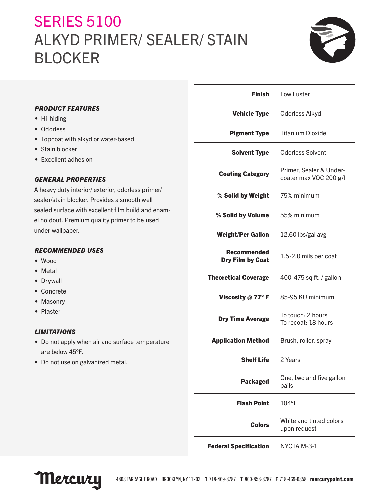# **SERIES 5100** ALKYD PRIMER/ SEALER/ STAIN BLOCKER



| <b>PRODUCT FEATURES</b>                            | <b>Vehicle Ty</b>         |
|----------------------------------------------------|---------------------------|
| • Hi-hiding                                        |                           |
| • Odorless                                         | <b>Pigment Ty</b>         |
| • Topcoat with alkyd or water-based                |                           |
| • Stain blocker                                    | <b>Solvent Ty</b>         |
| • Excellent adhesion                               |                           |
|                                                    | <b>Coating Catego</b>     |
| <b>GENERAL PROPERTIES</b>                          |                           |
| A heavy duty interior/exterior, odorless primer/   |                           |
| sealer/stain blocker. Provides a smooth well       | % Solid by Weig           |
| sealed surface with excellent film build and enam- | % Solid by Volur          |
| el holdout. Premium quality primer to be used      |                           |
| under wallpaper.                                   | <b>Weight/Per Gall</b>    |
| <b>RECOMMENDED USES</b>                            | <b>Recommend</b>          |
| $\bullet$ Wood                                     | Dry Film by Co            |
| Metal                                              |                           |
| • Drywall                                          | <b>Theoretical Covera</b> |
| • Concrete                                         |                           |
| • Masonry                                          | Viscosity @ 77°           |
| • Plaster                                          |                           |
|                                                    | <b>Dry Time Avera</b>     |
| <b>LIMITATIONS</b>                                 |                           |
| • Do not apply when air and surface temperature    | <b>Application Metho</b>  |
| are below 45°F.                                    |                           |
| • Do not use on galvanized metal.                  | <b>Shelf Li</b>           |
|                                                    |                           |

| Finish                                        | Low Luster                                        |  |
|-----------------------------------------------|---------------------------------------------------|--|
| <b>Vehicle Type</b>                           | Odorless Alkyd                                    |  |
| <b>Pigment Type</b>                           | <b>Titanium Dioxide</b>                           |  |
| <b>Solvent Type</b>                           | <b>Odorless Solvent</b>                           |  |
| <b>Coating Category</b>                       | Primer, Sealer & Under-<br>coater max VOC 200 g/l |  |
| % Solid by Weight                             | 75% minimum                                       |  |
| % Solid by Volume                             | 55% minimum                                       |  |
| <b>Weight/Per Gallon</b>                      | 12.60 lbs/gal avg                                 |  |
| <b>Recommended</b><br><b>Dry Film by Coat</b> | 1.5-2.0 mils per coat                             |  |
| <b>Theoretical Coverage</b>                   | 400-475 sq ft. / gallon                           |  |
| Viscosity $@$ 77° F                           | 85-95 KU minimum                                  |  |
| <b>Dry Time Average</b>                       | To touch: 2 hours<br>To recoat: 18 hours          |  |
| <b>Application Method</b>                     | Brush, roller, spray                              |  |
| <b>Shelf Life</b>                             | 2 Years                                           |  |
| <b>Packaged</b>                               | One, two and five gallon<br>pails                 |  |
| <b>Flash Point</b>                            | 104°F                                             |  |
| <b>Colors</b>                                 | White and tinted colors<br>upon request           |  |
| <b>Federal Specification</b>                  | NYCTA M-3-1                                       |  |